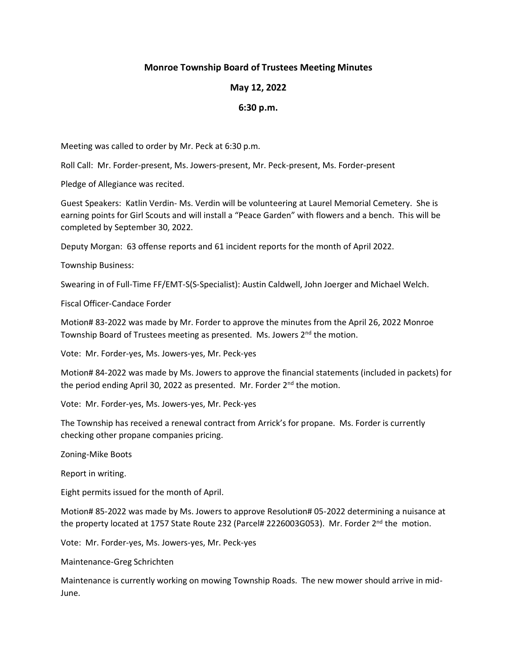## **Monroe Township Board of Trustees Meeting Minutes**

## **May 12, 2022**

## **6:30 p.m.**

Meeting was called to order by Mr. Peck at 6:30 p.m.

Roll Call: Mr. Forder-present, Ms. Jowers-present, Mr. Peck-present, Ms. Forder-present

Pledge of Allegiance was recited.

Guest Speakers: Katlin Verdin- Ms. Verdin will be volunteering at Laurel Memorial Cemetery. She is earning points for Girl Scouts and will install a "Peace Garden" with flowers and a bench. This will be completed by September 30, 2022.

Deputy Morgan: 63 offense reports and 61 incident reports for the month of April 2022.

Township Business:

Swearing in of Full-Time FF/EMT-S(S-Specialist): Austin Caldwell, John Joerger and Michael Welch.

Fiscal Officer-Candace Forder

Motion# 83-2022 was made by Mr. Forder to approve the minutes from the April 26, 2022 Monroe Township Board of Trustees meeting as presented. Ms. Jowers 2<sup>nd</sup> the motion.

Vote: Mr. Forder-yes, Ms. Jowers-yes, Mr. Peck-yes

Motion# 84-2022 was made by Ms. Jowers to approve the financial statements (included in packets) for the period ending April 30, 2022 as presented. Mr. Forder 2<sup>nd</sup> the motion.

Vote: Mr. Forder-yes, Ms. Jowers-yes, Mr. Peck-yes

The Township has received a renewal contract from Arrick's for propane. Ms. Forder is currently checking other propane companies pricing.

Zoning-Mike Boots

Report in writing.

Eight permits issued for the month of April.

Motion# 85-2022 was made by Ms. Jowers to approve Resolution# 05-2022 determining a nuisance at the property located at 1757 State Route 232 (Parcel# 2226003G053). Mr. Forder 2<sup>nd</sup> the motion.

Vote: Mr. Forder-yes, Ms. Jowers-yes, Mr. Peck-yes

Maintenance-Greg Schrichten

Maintenance is currently working on mowing Township Roads. The new mower should arrive in mid-June.